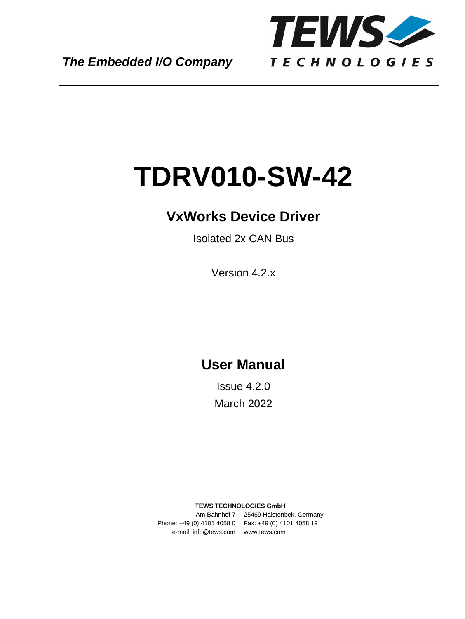

# **TDRV010-SW-42**

# **VxWorks Device Driver**

Isolated 2x CAN Bus

Version 4.2.x

# **User Manual**

Issue 4.2.0 March 2022

**TEWS TECHNOLOGIES GmbH** 

Am Bahnhof 7 25469 Halstenbek, Germany Phone: +49 (0) 4101 4058 0 Fax: +49 (0) 4101 4058 19 e-mail: info@tews.com www.tews.com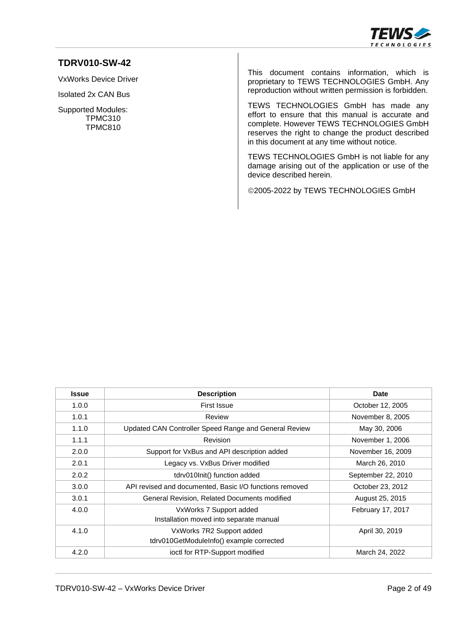

#### **TDRV010-SW-42**

VxWorks Device Driver

Isolated 2x CAN Bus

Supported Modules: TPMC310 TPMC810

This document contains information, which is proprietary to TEWS TECHNOLOGIES GmbH. Any reproduction without written permission is forbidden.

TEWS TECHNOLOGIES GmbH has made any effort to ensure that this manual is accurate and complete. However TEWS TECHNOLOGIES GmbH reserves the right to change the product described in this document at any time without notice.

TEWS TECHNOLOGIES GmbH is not liable for any damage arising out of the application or use of the device described herein.

2005-2022 by TEWS TECHNOLOGIES GmbH

| <b>Issue</b> | <b>Description</b>                                                    | <b>Date</b>        |
|--------------|-----------------------------------------------------------------------|--------------------|
| 1.0.0        | First Issue                                                           | October 12, 2005   |
| 1.0.1        | Review                                                                | November 8, 2005   |
| 1.1.0        | Updated CAN Controller Speed Range and General Review                 | May 30, 2006       |
| 1.1.1        | Revision                                                              | November 1, 2006   |
| 2.0.0        | Support for VxBus and API description added                           | November 16, 2009  |
| 2.0.1        | Legacy vs. VxBus Driver modified                                      | March 26, 2010     |
| 2.0.2        | tdrv010lnit() function added                                          | September 22, 2010 |
| 3.0.0        | API revised and documented, Basic I/O functions removed               | October 23, 2012   |
| 3.0.1        | General Revision, Related Documents modified                          | August 25, 2015    |
| 4.0.0        | VxWorks 7 Support added<br>Installation moved into separate manual    | February 17, 2017  |
| 4.1.0        | VxWorks 7R2 Support added<br>tdrv010GetModuleInfo() example corrected | April 30, 2019     |
| 4.2.0        | ioctl for RTP-Support modified                                        | March 24, 2022     |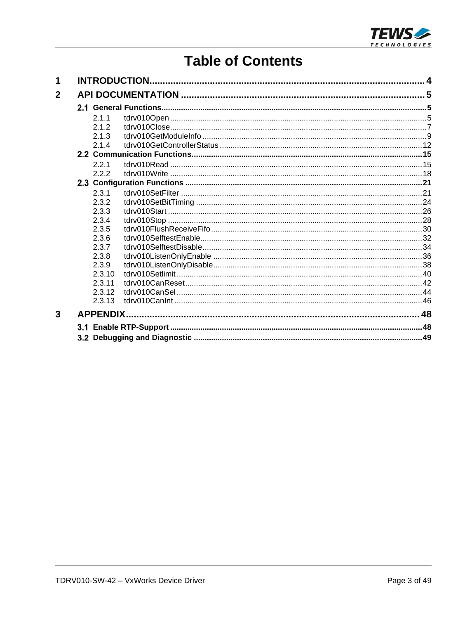

# **Table of Contents**

| 1            |                  |  |
|--------------|------------------|--|
| $\mathbf{2}$ |                  |  |
|              |                  |  |
|              | 2.1.1            |  |
|              | 2.1.2            |  |
|              | 2.1.3            |  |
|              | 2.1.4            |  |
|              |                  |  |
|              | 221              |  |
|              | 2.2.2            |  |
|              |                  |  |
|              | 2.3.1            |  |
|              | 2.3.2            |  |
|              | 2.3.3            |  |
|              | 2.3.4            |  |
|              | 2.3.5            |  |
|              | 2.3.6            |  |
|              | 2.3.7            |  |
|              | 2.3.8            |  |
|              | 2.3.9            |  |
|              | 2.3.10           |  |
|              | 2.3.11           |  |
|              | 2.3.12           |  |
|              | 2.3.13           |  |
| 3            | <b>APPENDIX.</b> |  |
|              |                  |  |
|              |                  |  |
|              |                  |  |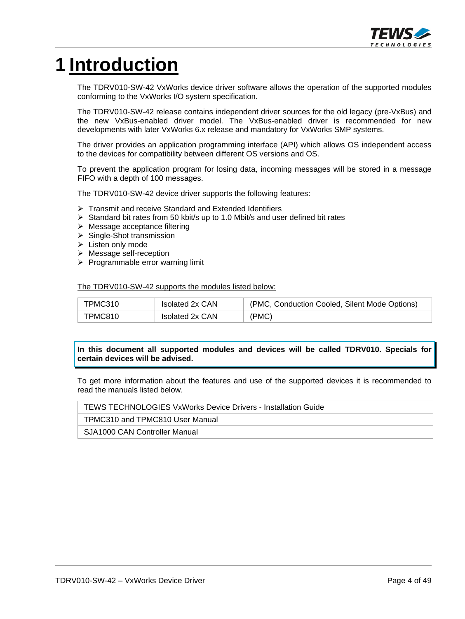

# <span id="page-3-0"></span>**1 Introduction**

The TDRV010-SW-42 VxWorks device driver software allows the operation of the supported modules conforming to the VxWorks I/O system specification.

The TDRV010-SW-42 release contains independent driver sources for the old legacy (pre-VxBus) and the new VxBus-enabled driver model. The VxBus-enabled driver is recommended for new developments with later VxWorks 6.x release and mandatory for VxWorks SMP systems.

The driver provides an application programming interface (API) which allows OS independent access to the devices for compatibility between different OS versions and OS.

To prevent the application program for losing data, incoming messages will be stored in a message FIFO with a depth of 100 messages.

The TDRV010-SW-42 device driver supports the following features:

- $\triangleright$  Transmit and receive Standard and Extended Identifiers
- $\triangleright$  Standard bit rates from 50 kbit/s up to 1.0 Mbit/s and user defined bit rates
- $\triangleright$  Message acceptance filtering
- $\triangleright$  Single-Shot transmission
- $\triangleright$  Listen only mode
- $\triangleright$  Message self-reception
- $\triangleright$  Programmable error warning limit

#### The TDRV010-SW-42 supports the modules listed below:

| FPMC310 | Isolated 2x CAN | (PMC, Conduction Cooled, Silent Mode Options) |
|---------|-----------------|-----------------------------------------------|
| TPMC810 | Isolated 2x CAN | (PMC)                                         |

#### **In this document all supported modules and devices will be called TDRV010. Specials for certain devices will be advised.**

To get more information about the features and use of the supported devices it is recommended to read the manuals listed below.

#### TEWS TECHNOLOGIES VxWorks Device Drivers - Installation Guide

TPMC310 and TPMC810 User Manual

SJA1000 CAN Controller Manual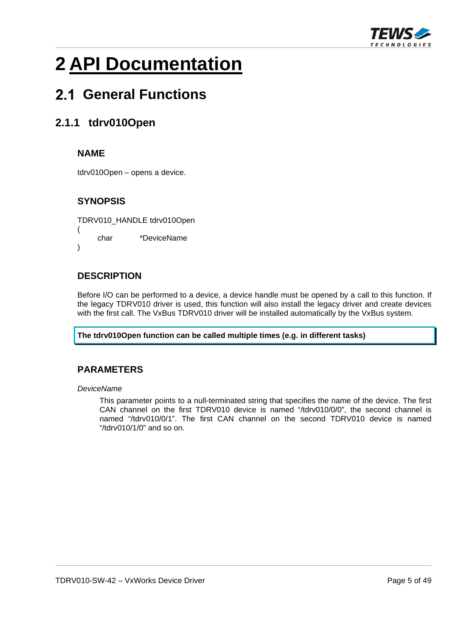

# <span id="page-4-0"></span>**2 API Documentation**

# <span id="page-4-1"></span> **General Functions**

# <span id="page-4-2"></span>**2.1.1 tdrv010Open**

#### **NAME**

tdrv010Open – opens a device.

#### **SYNOPSIS**

TDRV010\_HANDLE tdrv010Open

( char \*DeviceName )

#### **DESCRIPTION**

Before I/O can be performed to a device, a device handle must be opened by a call to this function. If the legacy TDRV010 driver is used, this function will also install the legacy driver and create devices with the first call. The VxBus TDRV010 driver will be installed automatically by the VxBus system.

**The tdrv010Open function can be called multiple times (e.g. in different tasks)** 

#### **PARAMETERS**

*DeviceName* 

This parameter points to a null-terminated string that specifies the name of the device. The first CAN channel on the first TDRV010 device is named "/tdrv010/0/0", the second channel is named "/tdrv010/0/1". The first CAN channel on the second TDRV010 device is named "/tdrv010/1/0" and so on.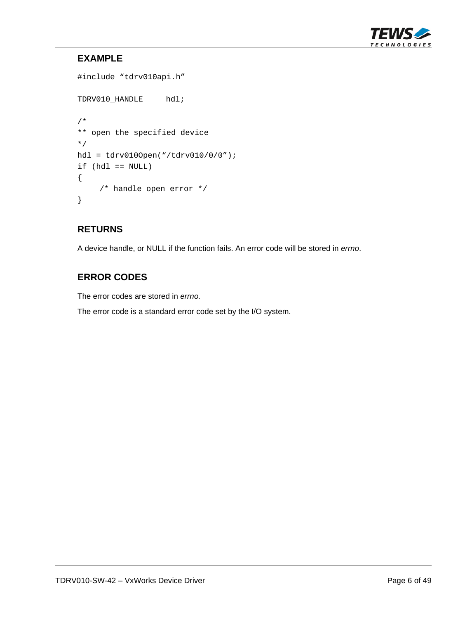

# **EXAMPLE**

```
#include "tdrv010api.h" 
TDRV010_HANDLE hdl; 
/* 
** open the specified device 
*/ 
hdl = tdrv010Open("/tdrv010/0/0"); 
if (hdl == NULL){ 
      /* handle open error */ 
}
```
#### **RETURNS**

A device handle, or NULL if the function fails. An error code will be stored in *errno*.

# **ERROR CODES**

The error codes are stored in *errno.*

The error code is a standard error code set by the I/O system.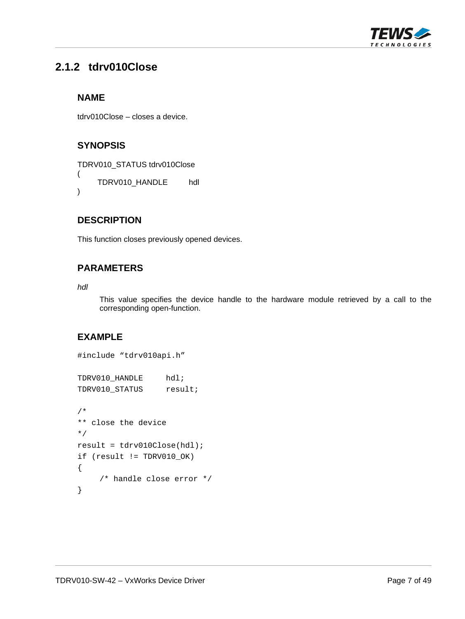

# <span id="page-6-0"></span>**2.1.2 tdrv010Close**

#### **NAME**

tdrv010Close – closes a device.

# **SYNOPSIS**

TDRV010\_STATUS tdrv010Close ( TDRV010\_HANDLE hdl )

### **DESCRIPTION**

This function closes previously opened devices.

# **PARAMETERS**

*hdl* 

This value specifies the device handle to the hardware module retrieved by a call to the corresponding open-function.

```
#include "tdrv010api.h" 
TDRV010_HANDLE hdl; 
TDRV010_STATUS result;
/* 
** close the device 
*/ 
result = tdrv010Close(hdl); 
if (result != TDRV010_OK) 
{ 
      /* handle close error */ 
}
```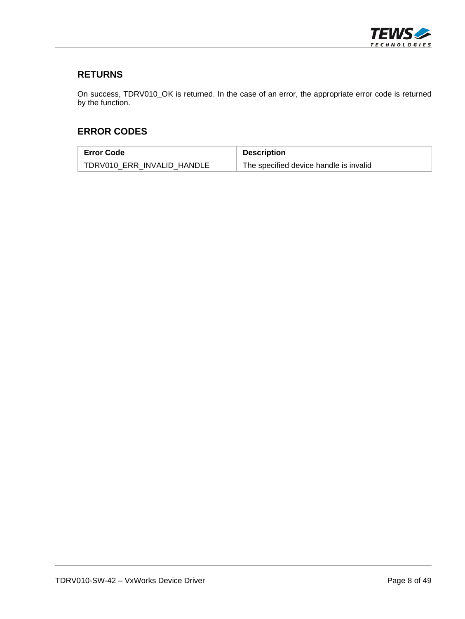

#### **RETURNS**

On success, TDRV010\_OK is returned. In the case of an error, the appropriate error code is returned by the function.

#### **ERROR CODES**

| <b>Error Code</b>          | <b>Description</b>                     |
|----------------------------|----------------------------------------|
| TDRV010 ERR INVALID HANDLE | The specified device handle is invalid |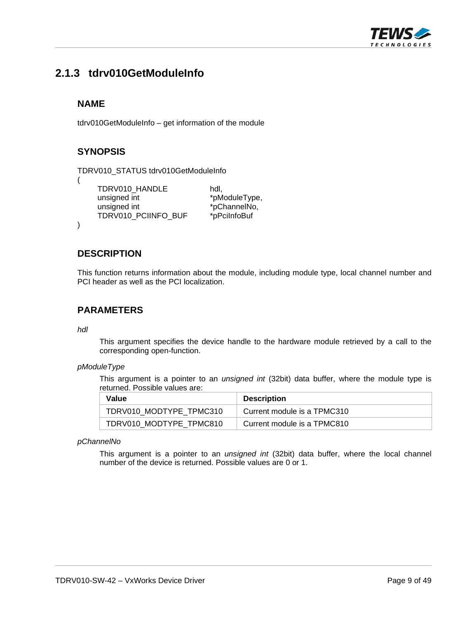

# <span id="page-8-0"></span>**2.1.3 tdrv010GetModuleInfo**

#### **NAME**

tdrv010GetModuleInfo – get information of the module

### **SYNOPSIS**

```
TDRV010_STATUS tdrv010GetModuleInfo
```
(

)

TDRV010\_HANDLE hdl, unsigned int  $*$ pModuleType, unsigned int  $*pChannelNo$ , TDRV010\_PCIINFO\_BUF \*pPciInfoBuf

#### **DESCRIPTION**

This function returns information about the module, including module type, local channel number and PCI header as well as the PCI localization.

#### **PARAMETERS**

*hdl* 

This argument specifies the device handle to the hardware module retrieved by a call to the corresponding open-function.

#### *pModuleType*

This argument is a pointer to an *unsigned int* (32bit) data buffer, where the module type is returned. Possible values are:

| Value                   | <b>Description</b>          |
|-------------------------|-----------------------------|
| TDRV010 MODTYPE TPMC310 | Current module is a TPMC310 |
| TDRV010 MODTYPE TPMC810 | Current module is a TPMC810 |

#### *pChannelNo*

This argument is a pointer to an *unsigned int* (32bit) data buffer, where the local channel number of the device is returned. Possible values are 0 or 1.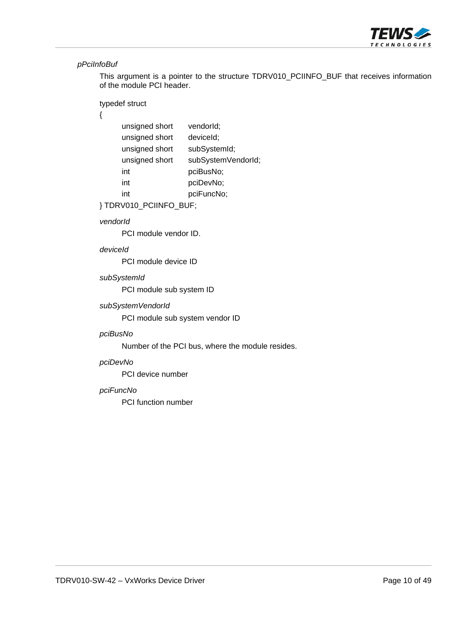

#### *pPciInfoBuf*

This argument is a pointer to the structure TDRV010\_PCIINFO\_BUF that receives information of the module PCI header.

#### typedef struct

#### {

| unsigned short | vendorld;          |
|----------------|--------------------|
| unsigned short | deviceld;          |
| unsigned short | subSystemId;       |
| unsigned short | subSystemVendorId; |
| int            | pciBusNo;          |
| int            | pciDevNo;          |
| int            | pciFuncNo;         |
|                |                    |

} TDRV010\_PCIINFO\_BUF;

#### *vendorId*

PCI module vendor ID.

#### *deviceId*

PCI module device ID

#### *subSystemId*

PCI module sub system ID

#### *subSystemVendorId*

PCI module sub system vendor ID

#### *pciBusNo*

Number of the PCI bus, where the module resides.

#### *pciDevNo*

PCI device number

#### *pciFuncNo*

PCI function number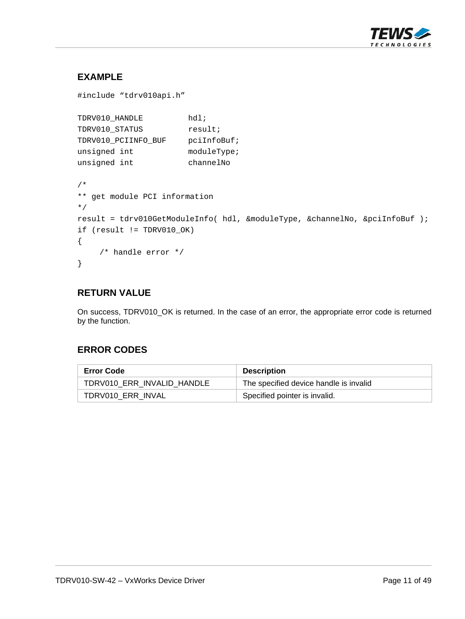

# **EXAMPLE**

```
#include "tdrv010api.h" 
TDRV010_HANDLE hdl;
TDRV010_STATUS result;
TDRV010_PCIINFO_BUF pciInfoBuf; 
unsigned int moduleType;
unsigned int channelNo 
/* 
** get module PCI information 
*/ 
result = tdrv010GetModuleInfo( hdl, &moduleType, &channelNo, &pciInfoBuf ); 
if (result != TDRV010_OK) 
{ 
     /* handle error */ 
}
```
#### **RETURN VALUE**

On success, TDRV010\_OK is returned. In the case of an error, the appropriate error code is returned by the function.

# **ERROR CODES**

| <b>Error Code</b>          | <b>Description</b>                     |
|----------------------------|----------------------------------------|
| TDRV010 ERR INVALID HANDLE | The specified device handle is invalid |
| TDRV010_ERR_INVAL          | Specified pointer is invalid.          |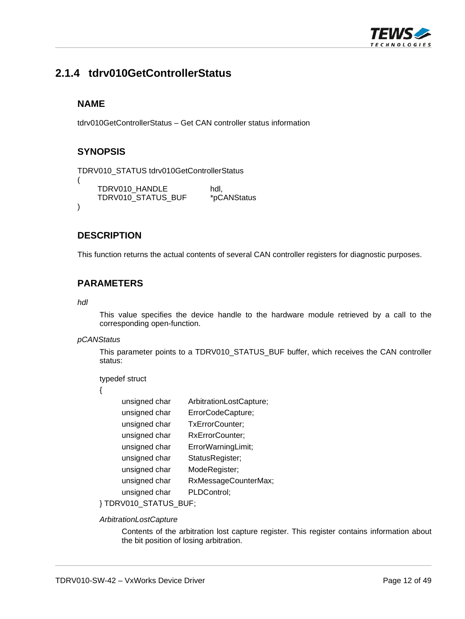

# <span id="page-11-0"></span>**2.1.4 tdrv010GetControllerStatus**

#### **NAME**

(

)

tdrv010GetControllerStatus – Get CAN controller status information

#### **SYNOPSIS**

```
TDRV010_STATUS tdrv010GetControllerStatus
```

```
TDRV010_HANDLE hdl,
TDRV010_STATUS_BUF *pCANStatus
```
#### **DESCRIPTION**

This function returns the actual contents of several CAN controller registers for diagnostic purposes.

#### **PARAMETERS**

#### *hdl*

This value specifies the device handle to the hardware module retrieved by a call to the corresponding open-function.

#### *pCANStatus*

This parameter points to a TDRV010\_STATUS\_BUF buffer, which receives the CAN controller status:

typedef struct

{

| unsigned char | ArbitrationLostCapture; |
|---------------|-------------------------|
| unsigned char | ErrorCodeCapture;       |
| unsigned char | TxErrorCounter;         |
| unsigned char | RxErrorCounter;         |
| unsigned char | ErrorWarningLimit;      |
| unsigned char | StatusRegister;         |
| unsigned char | ModeRegister;           |
| unsigned char | RxMessageCounterMax;    |
| unsigned char | PLDControl;             |

#### } TDRV010\_STATUS\_BUF;

#### *ArbitrationLostCapture*

Contents of the arbitration lost capture register. This register contains information about the bit position of losing arbitration.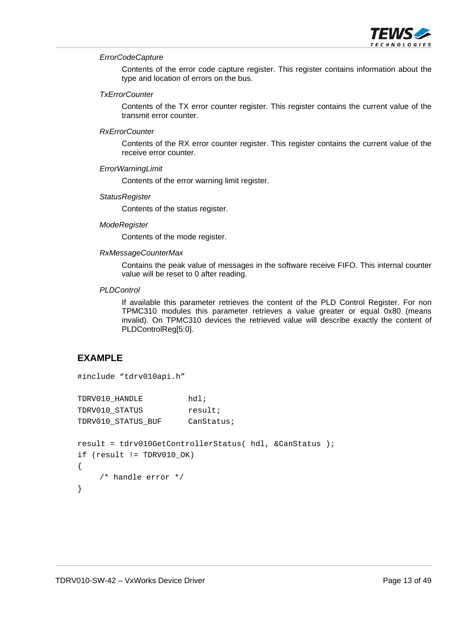

#### *ErrorCodeCapture*

Contents of the error code capture register. This register contains information about the type and location of errors on the bus.

#### *TxErrorCounter*

Contents of the TX error counter register. This register contains the current value of the transmit error counter.

#### *RxErrorCounter*

Contents of the RX error counter register. This register contains the current value of the receive error counter.

#### *ErrorWarningLimit*

Contents of the error warning limit register.

#### *StatusRegister*

Contents of the status register.

#### *ModeRegister*

Contents of the mode register.

#### *RxMessageCounterMax*

Contains the peak value of messages in the software receive FIFO. This internal counter value will be reset to 0 after reading.

#### *PLDControl*

If available this parameter retrieves the content of the PLD Control Register. For non TPMC310 modules this parameter retrieves a value greater or equal 0x80 (means invalid). On TPMC310 devices the retrieved value will describe exactly the content of PLDControlReg[5:0].

```
#include "tdrv010api.h" 
TDRV010_HANDLE hdl;
TDRV010 STATUS result;
TDRV010_STATUS_BUF CanStatus; 
result = tdrv010GetControllerStatus( hdl, &CanStatus ); 
if (result != TDRV010_OK) 
{ 
     /* handle error */ 
}
```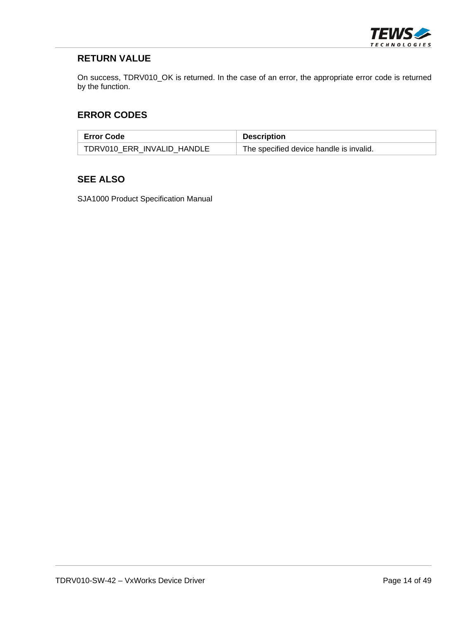

On success, TDRV010\_OK is returned. In the case of an error, the appropriate error code is returned by the function.

#### **ERROR CODES**

| <b>Error Code</b>          | <b>Description</b>                      |
|----------------------------|-----------------------------------------|
| TDRV010 ERR INVALID HANDLE | The specified device handle is invalid. |

# **SEE ALSO**

SJA1000 Product Specification Manual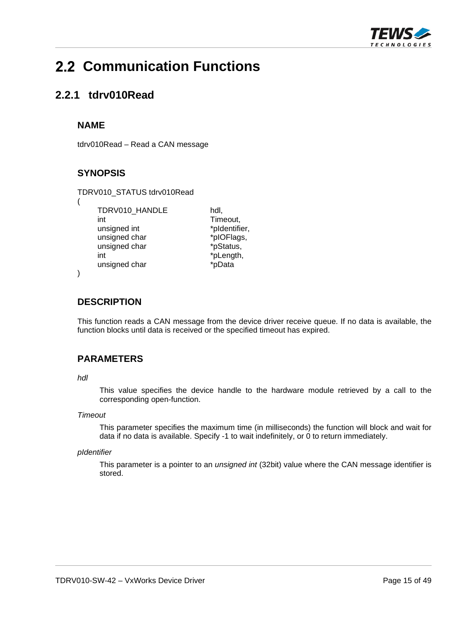

# <span id="page-14-0"></span>**2.2 Communication Functions**

# <span id="page-14-1"></span>**2.2.1 tdrv010Read**

#### **NAME**

(

)

tdrv010Read – Read a CAN message

# **SYNOPSIS**

TDRV010\_STATUS tdrv010Read TDRV010\_HANDLE hdl, int Timeout, unsigned int  $*$ pIdentifier, unsigned char \*pIOFlags, unsigned char \*pStatus, int  $*$ pLength, unsigned char \*pData

#### **DESCRIPTION**

This function reads a CAN message from the device driver receive queue. If no data is available, the function blocks until data is received or the specified timeout has expired.

# **PARAMETERS**

#### *hdl*

This value specifies the device handle to the hardware module retrieved by a call to the corresponding open-function.

#### *Timeout*

This parameter specifies the maximum time (in milliseconds) the function will block and wait for data if no data is available. Specify -1 to wait indefinitely, or 0 to return immediately.

#### *pIdentifier*

This parameter is a pointer to an *unsigned int* (32bit) value where the CAN message identifier is stored.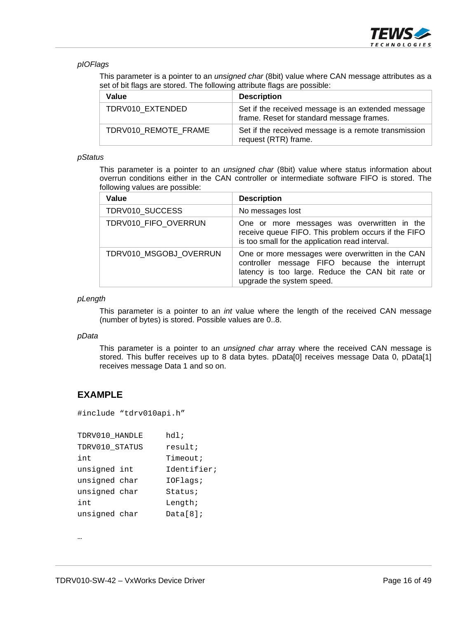

#### *pIOFlags*

This parameter is a pointer to an *unsigned char* (8bit) value where CAN message attributes as a set of bit flags are stored. The following attribute flags are possible:

| Value                | <b>Description</b>                                                                              |
|----------------------|-------------------------------------------------------------------------------------------------|
| TDRV010 EXTENDED     | Set if the received message is an extended message<br>frame. Reset for standard message frames. |
| TDRV010 REMOTE FRAME | Set if the received message is a remote transmission<br>request (RTR) frame.                    |

#### *pStatus*

This parameter is a pointer to an *unsigned char* (8bit) value where status information about overrun conditions either in the CAN controller or intermediate software FIFO is stored. The following values are possible:

| Value                  | <b>Description</b>                                                                                                                                                                 |
|------------------------|------------------------------------------------------------------------------------------------------------------------------------------------------------------------------------|
| TDRV010 SUCCESS        | No messages lost                                                                                                                                                                   |
| TDRV010 FIFO OVERRUN   | One or more messages was overwritten in the<br>receive queue FIFO. This problem occurs if the FIFO<br>is too small for the application read interval.                              |
| TDRV010 MSGOBJ OVERRUN | One or more messages were overwritten in the CAN<br>controller message FIFO because the interrupt<br>latency is too large. Reduce the CAN bit rate or<br>upgrade the system speed. |

#### *pLength*

This parameter is a pointer to an *int* value where the length of the received CAN message (number of bytes) is stored. Possible values are 0..8.

#### *pData*

This parameter is a pointer to an *unsigned char* array where the received CAN message is stored. This buffer receives up to 8 data bytes. pData[0] receives message Data 0, pData[1] receives message Data 1 and so on.

#### **EXAMPLE**

#include "tdrv010api.h"

| TDRV010_HANDLE | hdl;        |
|----------------|-------------|
| TDRV010_STATUS | result;     |
| int            | Timeout;    |
| unsigned int   | Identifier; |
| unsigned char  | IOFlaqs;    |
| unsigned char  | Status;     |
| int            | Length;     |
| unsigned char  | Data[8]     |

…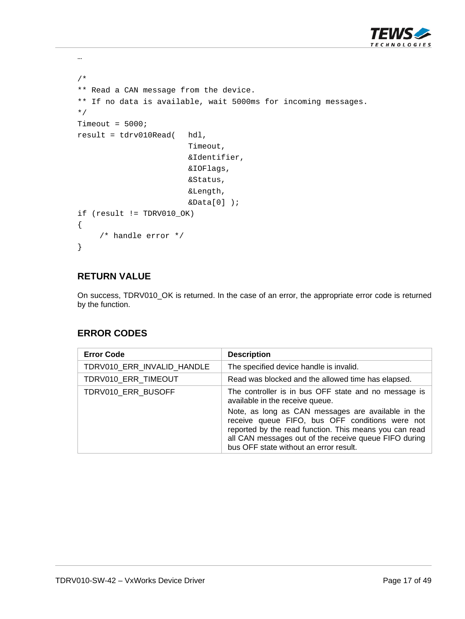

```
/* 
** Read a CAN message from the device. 
** If no data is available, wait 5000ms for incoming messages. 
*/ 
Timeout = 5000;
result = tdrv010Read( hdl, 
                           Timeout, 
                           &Identifier, 
                           &IOFlags, 
                           &Status, 
                           &Length, 
                          &\text{Data}[0] );
if (result != TDRV010_OK) 
{ 
      /* handle error */ 
}
```
…

On success, TDRV010\_OK is returned. In the case of an error, the appropriate error code is returned by the function.

#### **ERROR CODES**

| <b>Error Code</b>          | <b>Description</b>                                                                                                                                                                                                                                                                                                                                            |
|----------------------------|---------------------------------------------------------------------------------------------------------------------------------------------------------------------------------------------------------------------------------------------------------------------------------------------------------------------------------------------------------------|
| TDRV010_ERR_INVALID_HANDLE | The specified device handle is invalid.                                                                                                                                                                                                                                                                                                                       |
| TDRV010 ERR TIMEOUT        | Read was blocked and the allowed time has elapsed.                                                                                                                                                                                                                                                                                                            |
| TDRV010 ERR BUSOFF         | The controller is in bus OFF state and no message is<br>available in the receive queue.<br>Note, as long as CAN messages are available in the<br>receive queue FIFO, bus OFF conditions were not<br>reported by the read function. This means you can read<br>all CAN messages out of the receive queue FIFO during<br>bus OFF state without an error result. |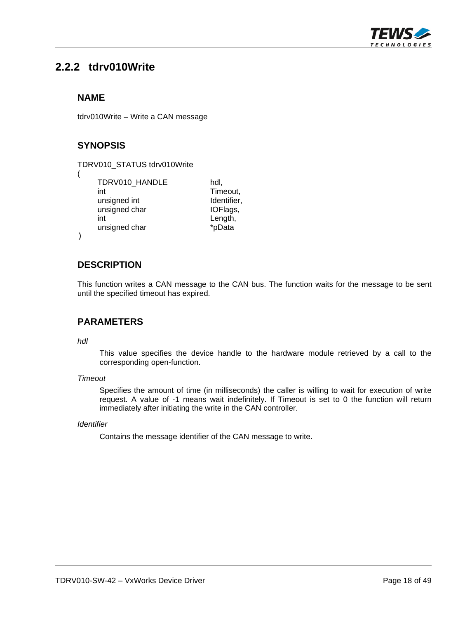

# <span id="page-17-0"></span>**2.2.2 tdrv010Write**

#### **NAME**

tdrv010Write – Write a CAN message

### **SYNOPSIS**

| TDRV010 HANDLE<br>int<br>unsigned int<br>unsigned char<br>int | hdl.<br>Timeout,<br>Identifier,<br>IOFlags,<br>Length, |
|---------------------------------------------------------------|--------------------------------------------------------|
| unsigned char                                                 | *pData                                                 |
|                                                               |                                                        |

)

#### **DESCRIPTION**

This function writes a CAN message to the CAN bus. The function waits for the message to be sent until the specified timeout has expired.

#### **PARAMETERS**

#### *hdl*

This value specifies the device handle to the hardware module retrieved by a call to the corresponding open-function.

#### *Timeout*

Specifies the amount of time (in milliseconds) the caller is willing to wait for execution of write request. A value of -1 means wait indefinitely. If Timeout is set to 0 the function will return immediately after initiating the write in the CAN controller.

#### *Identifier*

Contains the message identifier of the CAN message to write.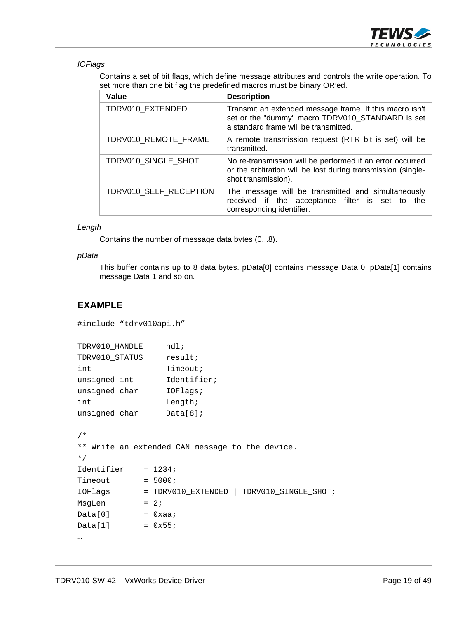

*IOFlags* 

Contains a set of bit flags, which define message attributes and controls the write operation. To set more than one bit flag the predefined macros must be binary OR'ed.

| Value                  | <b>Description</b>                                                                                                                                   |
|------------------------|------------------------------------------------------------------------------------------------------------------------------------------------------|
| TDRV010 EXTENDED       | Transmit an extended message frame. If this macro isn't<br>set or the "dummy" macro TDRV010_STANDARD is set<br>a standard frame will be transmitted. |
| TDRV010 REMOTE FRAME   | A remote transmission request (RTR bit is set) will be<br>transmitted.                                                                               |
| TDRV010 SINGLE SHOT    | No re-transmission will be performed if an error occurred<br>or the arbitration will be lost during transmission (single-<br>shot transmission).     |
| TDRV010 SELF RECEPTION | The message will be transmitted and simultaneously<br>received if the acceptance filter is set to<br>the<br>corresponding identifier.                |

#### *Length*

Contains the number of message data bytes (0...8).

#### *pData*

This buffer contains up to 8 data bytes. pData[0] contains message Data 0, pData[1] contains message Data 1 and so on.

```
#include "tdrv010api.h"
```

```
TDRV010_HANDLE hdl; 
TDRV010_STATUS result;
int Timeout;
unsigned int Identifier;
unsigned char IOFlags;
int Length;
unsigned char Data[8];
/* 
** Write an extended CAN message to the device. 
*/ 
Identifier = 1234;
Timeout = 5000;IOFlags = TDRV010_EXTENDED | TDRV010_SINGLE_SHOT; 
MsgLen = 2;
Data[0] = 0xaa;Data[1] = 0x55;…
```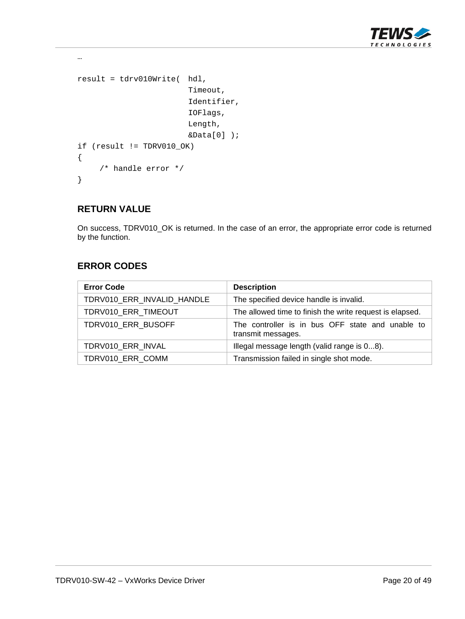

```
result = tdrv010Write( hdl, 
                            Timeout, 
                            Identifier, 
                            IOFlags, 
                            Length, 
                            &Data[0] ); 
if (result != TDRV010_OK) 
{ 
      /* handle error */ 
}
```
…

On success, TDRV010\_OK is returned. In the case of an error, the appropriate error code is returned by the function.

#### **ERROR CODES**

| <b>Error Code</b>          | <b>Description</b>                                                     |
|----------------------------|------------------------------------------------------------------------|
| TDRV010 ERR INVALID HANDLE | The specified device handle is invalid.                                |
| TDRV010_ERR_TIMEOUT        | The allowed time to finish the write request is elapsed.               |
| TDRV010_ERR_BUSOFF         | The controller is in bus OFF state and unable to<br>transmit messages. |
| TDRV010 ERR INVAL          | Illegal message length (valid range is 08).                            |
| TDRV010 ERR COMM           | Transmission failed in single shot mode.                               |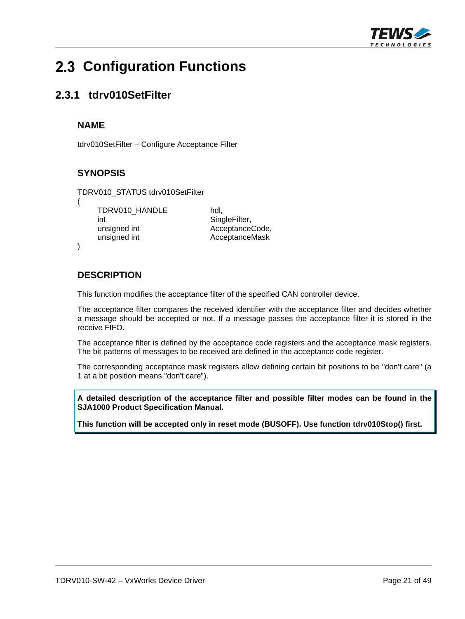

# <span id="page-20-0"></span> **Configuration Functions**

# <span id="page-20-1"></span>**2.3.1 tdrv010SetFilter**

#### **NAME**

(

)

tdrv010SetFilter – Configure Acceptance Filter

# **SYNOPSIS**

TDRV010\_STATUS tdrv010SetFilter

TDRV010\_HANDLE hdl, int **SingleFilter**, unsigned int **AcceptanceCode**, unsigned int **AcceptanceMask** 

# **DESCRIPTION**

This function modifies the acceptance filter of the specified CAN controller device.

The acceptance filter compares the received identifier with the acceptance filter and decides whether a message should be accepted or not. If a message passes the acceptance filter it is stored in the receive FIFO.

The acceptance filter is defined by the acceptance code registers and the acceptance mask registers. The bit patterns of messages to be received are defined in the acceptance code register.

The corresponding acceptance mask registers allow defining certain bit positions to be "don't care" (a 1 at a bit position means "don't care").

**A detailed description of the acceptance filter and possible filter modes can be found in the SJA1000 Product Specification Manual.** 

**This function will be accepted only in reset mode (BUSOFF). Use function tdrv010Stop() first.**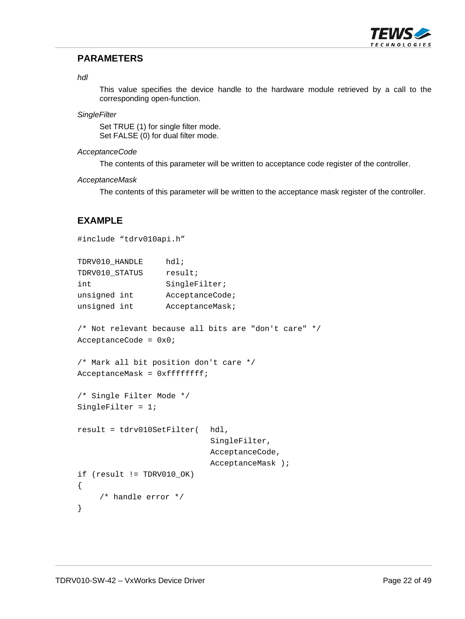

#### **PARAMETERS**

#### *hdl*

This value specifies the device handle to the hardware module retrieved by a call to the corresponding open-function.

#### *SingleFilter*

Set TRUE (1) for single filter mode. Set FALSE (0) for dual filter mode.

#### *AcceptanceCode*

The contents of this parameter will be written to acceptance code register of the controller.

#### *AcceptanceMask*

The contents of this parameter will be written to the acceptance mask register of the controller.

```
#include "tdrv010api.h" 
TDRV010_HANDLE hdl; 
TDRV010_STATUS result;
int SingleFilter;
unsigned int AcceptanceCode;
unsigned int AcceptanceMask;
/* Not relevant because all bits are "don't care" */ 
AcceptanceCode = 0x0; 
/* Mark all bit position don't care */ 
AcceptanceMask = 0xffffffff; 
/* Single Filter Mode */ 
SingleFilter = 1; 
result = tdrv010SetFilter( hdl, 
                             SingleFilter, 
                             AcceptanceCode, 
                             AcceptanceMask ); 
if (result != TDRV010_OK) 
{ 
     /* handle error */ 
}
```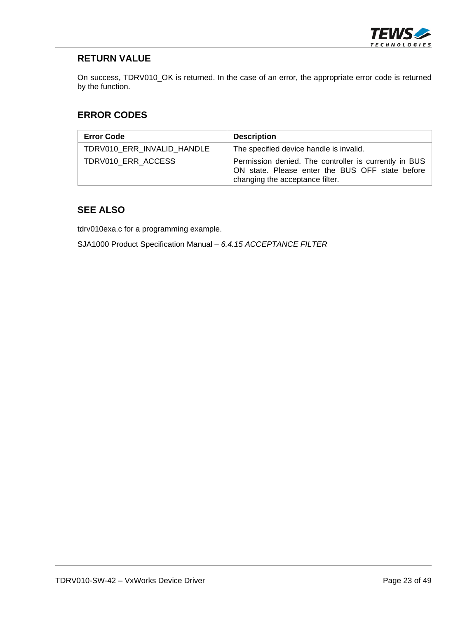

On success, TDRV010\_OK is returned. In the case of an error, the appropriate error code is returned by the function.

#### **ERROR CODES**

| <b>Error Code</b>          | <b>Description</b>                                                                                                                          |
|----------------------------|---------------------------------------------------------------------------------------------------------------------------------------------|
| TDRV010 ERR INVALID HANDLE | The specified device handle is invalid.                                                                                                     |
| TDRV010 ERR ACCESS         | Permission denied. The controller is currently in BUS<br>ON state. Please enter the BUS OFF state before<br>changing the acceptance filter. |

### **SEE ALSO**

tdrv010exa.c for a programming example.

SJA1000 Product Specification Manual – *6.4.15 ACCEPTANCE FILTER*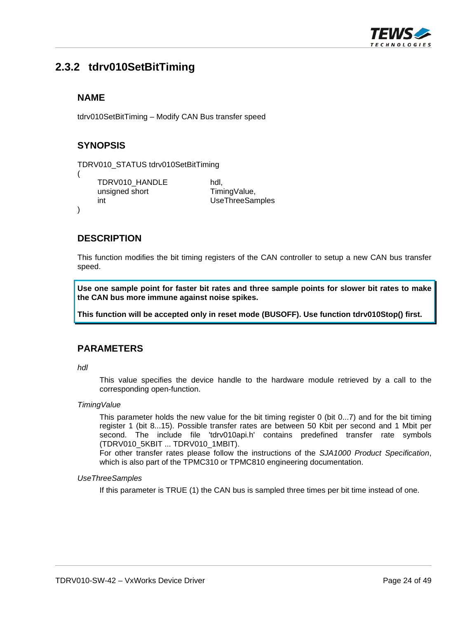

# <span id="page-23-0"></span>**2.3.2 tdrv010SetBitTiming**

#### **NAME**

tdrv010SetBitTiming – Modify CAN Bus transfer speed

#### **SYNOPSIS**

(

)

```
TDRV010_STATUS tdrv010SetBitTiming
```
TDRV010\_HANDLE hdl, unsigned short TimingValue, int UseThreeSamples

#### **DESCRIPTION**

This function modifies the bit timing registers of the CAN controller to setup a new CAN bus transfer speed.

**Use one sample point for faster bit rates and three sample points for slower bit rates to make the CAN bus more immune against noise spikes.** 

**This function will be accepted only in reset mode (BUSOFF). Use function tdrv010Stop() first.** 

#### **PARAMETERS**

*hdl* 

This value specifies the device handle to the hardware module retrieved by a call to the corresponding open-function.

#### *TimingValue*

This parameter holds the new value for the bit timing register 0 (bit 0...7) and for the bit timing register 1 (bit 8...15). Possible transfer rates are between 50 Kbit per second and 1 Mbit per second. The include file 'tdrv010api.h' contains predefined transfer rate symbols (TDRV010\_5KBIT ... TDRV010\_1MBIT).

For other transfer rates please follow the instructions of the *SJA1000 Product Specification*, which is also part of the TPMC310 or TPMC810 engineering documentation.

#### *UseThreeSamples*

If this parameter is TRUE (1) the CAN bus is sampled three times per bit time instead of one.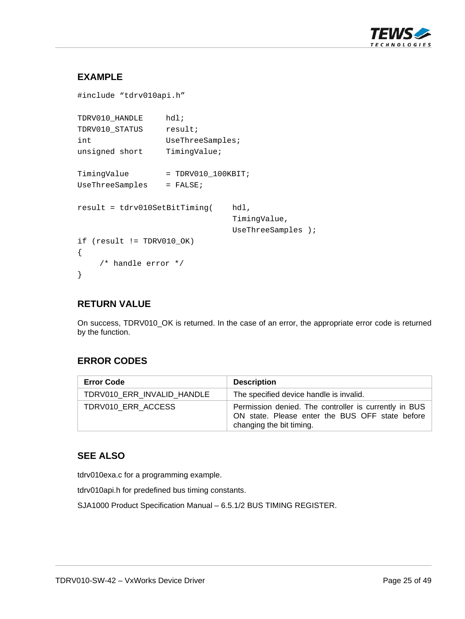

# **EXAMPLE**

```
#include "tdrv010api.h" 
TDRV010_HANDLE hdl; 
TDRV010_STATUS result;
int UseThreeSamples;
unsigned short TimingValue;
TimingValue = TDRV010_100KBIT;
UseThreeSamples = FALSE;
result = tdrv010SetBitTiming( hdl, 
                                TimingValue, 
                                UseThreeSamples ); 
if (result != TDRV010_OK) 
{ 
     /* handle error */ 
}
```
#### **RETURN VALUE**

On success, TDRV010\_OK is returned. In the case of an error, the appropriate error code is returned by the function.

# **ERROR CODES**

| <b>Error Code</b>          | <b>Description</b>                                                                                                                   |
|----------------------------|--------------------------------------------------------------------------------------------------------------------------------------|
| TDRV010 ERR INVALID HANDLE | The specified device handle is invalid.                                                                                              |
| TDRV010 ERR ACCESS         | Permission denied. The controller is currently in BUS<br>ON state. Please enter the BUS OFF state before<br>changing the bit timing. |

#### **SEE ALSO**

tdrv010exa.c for a programming example.

tdrv010api.h for predefined bus timing constants.

SJA1000 Product Specification Manual – 6.5.1/2 BUS TIMING REGISTER.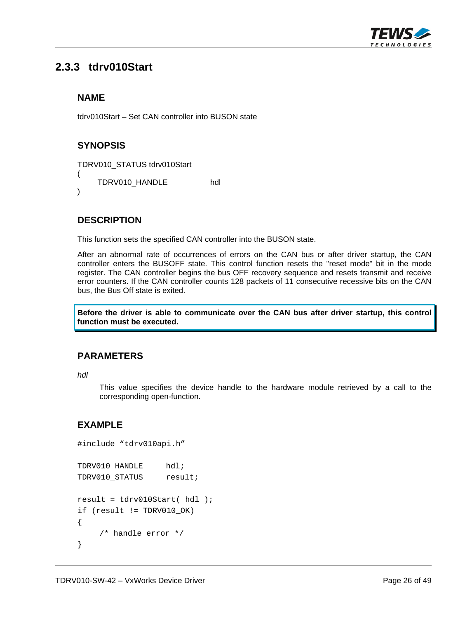

# <span id="page-25-0"></span>**2.3.3 tdrv010Start**

#### **NAME**

tdrv010Start – Set CAN controller into BUSON state

#### **SYNOPSIS**

```
TDRV010_STATUS tdrv010Start 
(
```
TDRV010\_HANDLE hdl

)

#### **DESCRIPTION**

This function sets the specified CAN controller into the BUSON state.

After an abnormal rate of occurrences of errors on the CAN bus or after driver startup, the CAN controller enters the BUSOFF state. This control function resets the "reset mode" bit in the mode register. The CAN controller begins the bus OFF recovery sequence and resets transmit and receive error counters. If the CAN controller counts 128 packets of 11 consecutive recessive bits on the CAN bus, the Bus Off state is exited.

**Before the driver is able to communicate over the CAN bus after driver startup, this control function must be executed.** 

#### **PARAMETERS**

*hdl* 

This value specifies the device handle to the hardware module retrieved by a call to the corresponding open-function.

```
#include "tdrv010api.h" 
TDRV010_HANDLE hdl;
TDRV010_STATUS result;
result = tdrv010Start( hdl ); 
if (result != TDRV010_OK) 
{ 
     /* handle error */ 
}
```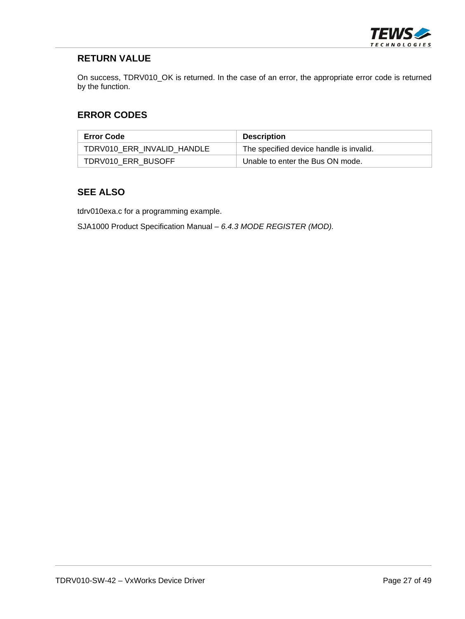

On success, TDRV010\_OK is returned. In the case of an error, the appropriate error code is returned by the function.

#### **ERROR CODES**

| <b>Error Code</b>          | <b>Description</b>                      |
|----------------------------|-----------------------------------------|
| TDRV010 ERR INVALID HANDLE | The specified device handle is invalid. |
| TDRV010 ERR BUSOFF         | Unable to enter the Bus ON mode.        |

#### **SEE ALSO**

tdrv010exa.c for a programming example.

SJA1000 Product Specification Manual – *6.4.3 MODE REGISTER (MOD).*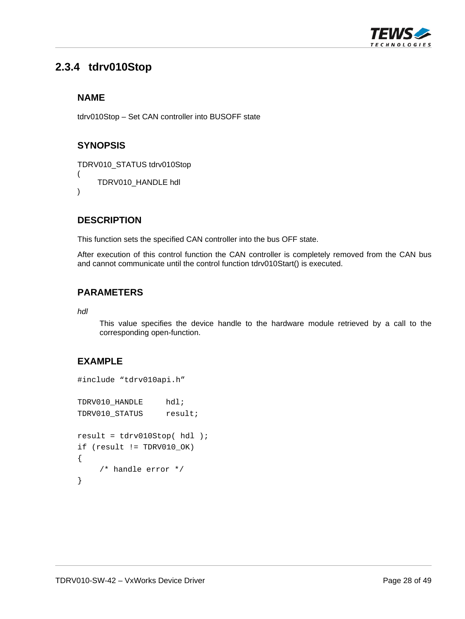

# <span id="page-27-0"></span>**2.3.4 tdrv010Stop**

#### **NAME**

tdrv010Stop – Set CAN controller into BUSOFF state

# **SYNOPSIS**

TDRV010\_STATUS tdrv010Stop

```
( 
    TDRV010_HANDLE hdl
```
)

#### **DESCRIPTION**

This function sets the specified CAN controller into the bus OFF state.

After execution of this control function the CAN controller is completely removed from the CAN bus and cannot communicate until the control function tdrv010Start() is executed.

#### **PARAMETERS**

*hdl* 

This value specifies the device handle to the hardware module retrieved by a call to the corresponding open-function.

```
#include "tdrv010api.h" 
TDRV010_HANDLE hdl; 
TDRV010 STATUS result;
result = tdrv010Stop( hdl ); 
if (result != TDRV010_OK) 
{ 
     /* handle error */ 
}
```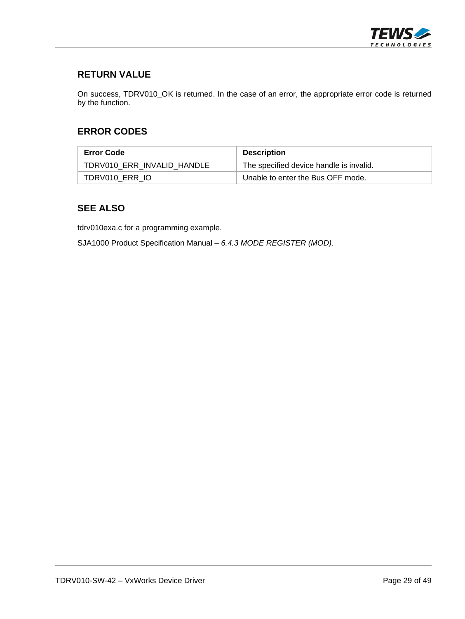

On success, TDRV010\_OK is returned. In the case of an error, the appropriate error code is returned by the function.

#### **ERROR CODES**

| <b>Error Code</b>          | <b>Description</b>                      |
|----------------------------|-----------------------------------------|
| TDRV010 ERR INVALID HANDLE | The specified device handle is invalid. |
| TDRV010 ERR IO             | Unable to enter the Bus OFF mode.       |

#### **SEE ALSO**

tdrv010exa.c for a programming example.

SJA1000 Product Specification Manual – *6.4.3 MODE REGISTER (MOD).*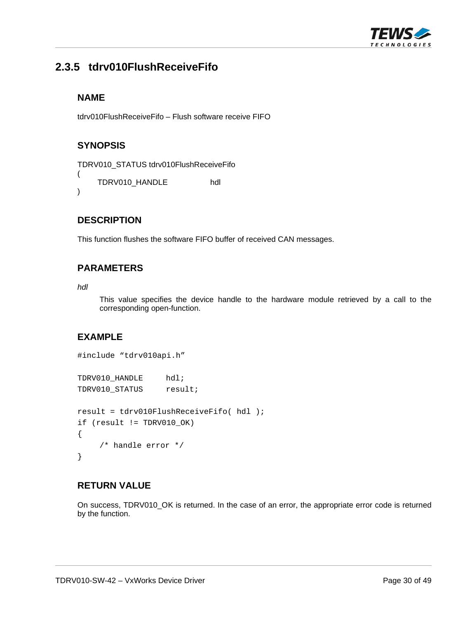

# <span id="page-29-0"></span>**2.3.5 tdrv010FlushReceiveFifo**

#### **NAME**

tdrv010FlushReceiveFifo – Flush software receive FIFO

# **SYNOPSIS**

```
TDRV010_STATUS tdrv010FlushReceiveFifo 
( 
    TDRV010_HANDLE hdl 
)
```
#### **DESCRIPTION**

This function flushes the software FIFO buffer of received CAN messages.

#### **PARAMETERS**

*hdl* 

This value specifies the device handle to the hardware module retrieved by a call to the corresponding open-function.

# **EXAMPLE**

```
#include "tdrv010api.h" 
TDRV010_HANDLE hdl; 
TDRV010_STATUS result;
result = tdrv010FlushReceiveFifo( hdl ); 
if (result != TDRV010_OK) 
{ 
     /* handle error */ 
}
```
#### **RETURN VALUE**

On success, TDRV010\_OK is returned. In the case of an error, the appropriate error code is returned by the function.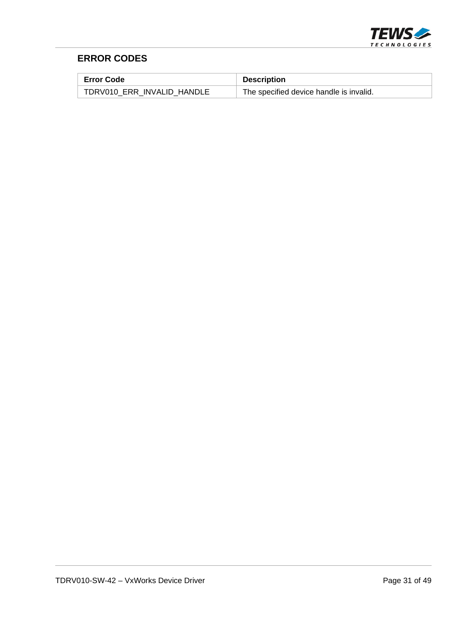

# **ERROR CODES**

| Error Code                 | <b>Description</b>                      |
|----------------------------|-----------------------------------------|
| TDRV010 ERR INVALID HANDLE | The specified device handle is invalid. |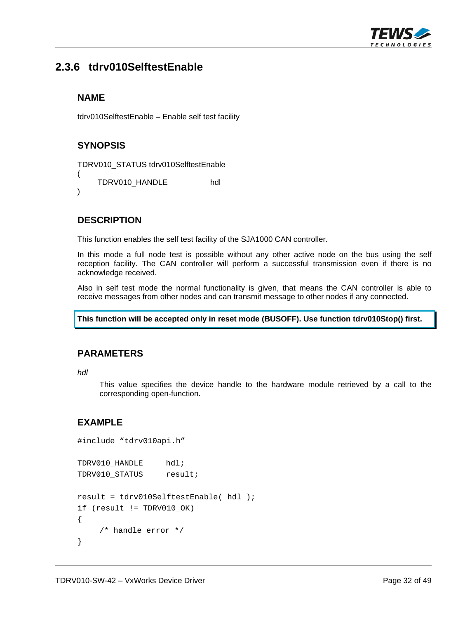

# <span id="page-31-0"></span>**2.3.6 tdrv010SelftestEnable**

#### **NAME**

tdrv010SelftestEnable – Enable self test facility

# **SYNOPSIS**

```
TDRV010_STATUS tdrv010SelftestEnable
```
( TDRV010\_HANDLE hdl

)

# **DESCRIPTION**

This function enables the self test facility of the SJA1000 CAN controller.

In this mode a full node test is possible without any other active node on the bus using the self reception facility. The CAN controller will perform a successful transmission even if there is no acknowledge received.

Also in self test mode the normal functionality is given, that means the CAN controller is able to receive messages from other nodes and can transmit message to other nodes if any connected.

**This function will be accepted only in reset mode (BUSOFF). Use function tdrv010Stop() first.** 

#### **PARAMETERS**

*hdl* 

This value specifies the device handle to the hardware module retrieved by a call to the corresponding open-function.

```
#include "tdrv010api.h" 
TDRV010_HANDLE hdl; 
TDRV010 STATUS result;
result = tdrv010SelftestEnable( hdl ); 
if (result != TDRV010_OK) 
{ 
     /* handle error */ 
}
```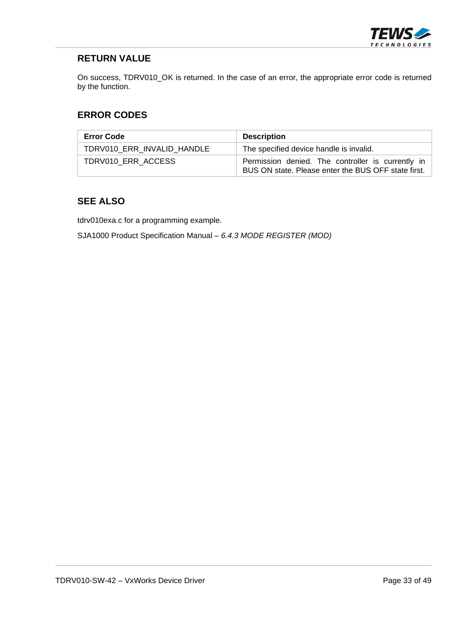

On success, TDRV010\_OK is returned. In the case of an error, the appropriate error code is returned by the function.

#### **ERROR CODES**

| <b>Error Code</b>          | <b>Description</b>                                                                                       |
|----------------------------|----------------------------------------------------------------------------------------------------------|
| TDRV010 ERR INVALID HANDLE | The specified device handle is invalid.                                                                  |
| TDRV010 ERR ACCESS         | Permission denied. The controller is currently in<br>BUS ON state. Please enter the BUS OFF state first. |

#### **SEE ALSO**

tdrv010exa.c for a programming example.

SJA1000 Product Specification Manual – *6.4.3 MODE REGISTER (MOD)*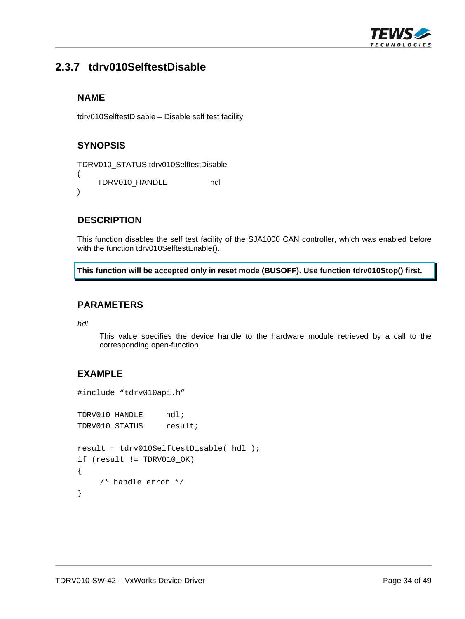

# <span id="page-33-0"></span>**2.3.7 tdrv010SelftestDisable**

#### **NAME**

tdrv010SelftestDisable – Disable self test facility

# **SYNOPSIS**

```
TDRV010_STATUS tdrv010SelftestDisable 
( 
    TDRV010_HANDLE hdl 
)
```
#### **DESCRIPTION**

This function disables the self test facility of the SJA1000 CAN controller, which was enabled before with the function tdrv010SelftestEnable().

**This function will be accepted only in reset mode (BUSOFF). Use function tdrv010Stop() first.** 

#### **PARAMETERS**

*hdl* 

This value specifies the device handle to the hardware module retrieved by a call to the corresponding open-function.

```
#include "tdrv010api.h" 
TDRV010_HANDLE hdl;
TDRV010_STATUS result;
result = tdrv010SelftestDisable( hdl ); 
if (result != TDRV010_OK) 
{ 
     /* handle error */ 
}
```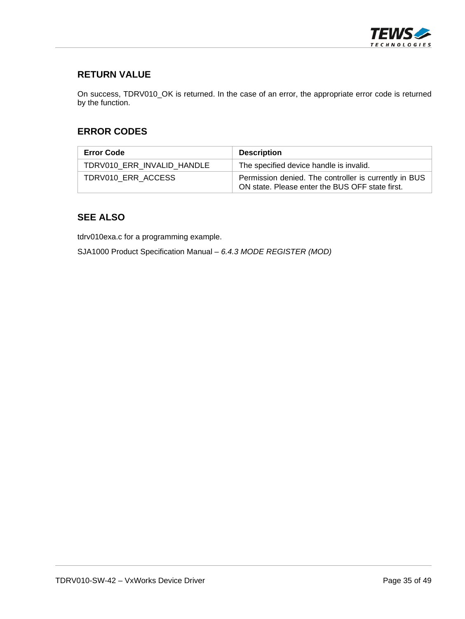

On success, TDRV010\_OK is returned. In the case of an error, the appropriate error code is returned by the function.

#### **ERROR CODES**

| <b>Error Code</b>          | <b>Description</b>                                                                                       |
|----------------------------|----------------------------------------------------------------------------------------------------------|
| TDRV010 ERR INVALID HANDLE | The specified device handle is invalid.                                                                  |
| TDRV010 ERR ACCESS         | Permission denied. The controller is currently in BUS<br>ON state. Please enter the BUS OFF state first. |

#### **SEE ALSO**

tdrv010exa.c for a programming example.

SJA1000 Product Specification Manual – *6.4.3 MODE REGISTER (MOD)*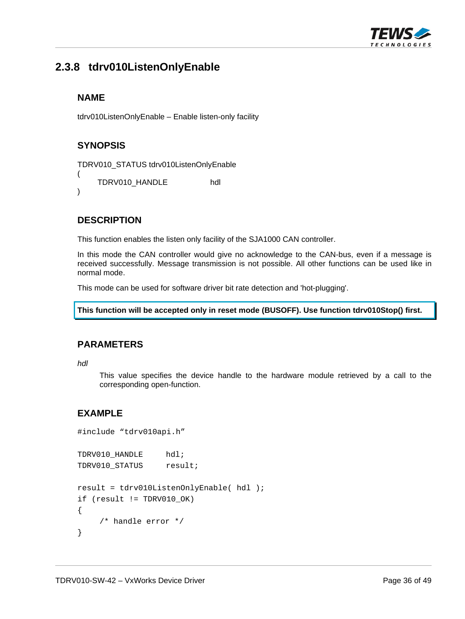

# <span id="page-35-0"></span>**2.3.8 tdrv010ListenOnlyEnable**

#### **NAME**

tdrv010ListenOnlyEnable – Enable listen-only facility

# **SYNOPSIS**

```
TDRV010_STATUS tdrv010ListenOnlyEnable
```
( TDRV010\_HANDLE hdl

```
)
```
# **DESCRIPTION**

This function enables the listen only facility of the SJA1000 CAN controller.

In this mode the CAN controller would give no acknowledge to the CAN-bus, even if a message is received successfully. Message transmission is not possible. All other functions can be used like in normal mode.

This mode can be used for software driver bit rate detection and 'hot-plugging'.

```
This function will be accepted only in reset mode (BUSOFF). Use function tdrv010Stop() first.
```
#### **PARAMETERS**

*hdl* 

This value specifies the device handle to the hardware module retrieved by a call to the corresponding open-function.

```
#include "tdrv010api.h" 
TDRV010_HANDLE hdl;
TDRV010 STATUS result;
result = tdrv010ListenOnlyEnable( hdl ); 
if (result != TDRV010_OK) 
{ 
     /* handle error */ 
}
```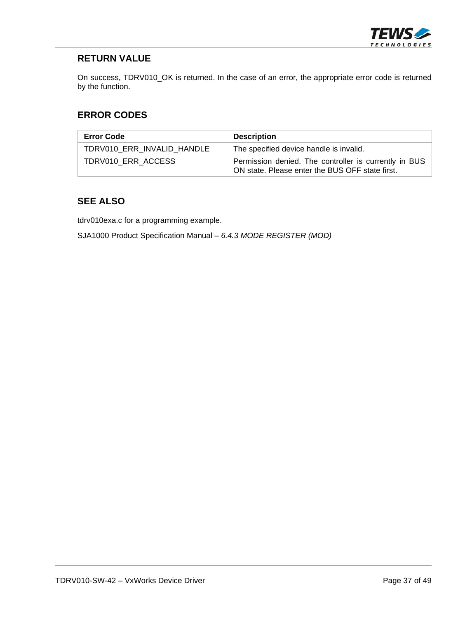

On success, TDRV010\_OK is returned. In the case of an error, the appropriate error code is returned by the function.

#### **ERROR CODES**

| <b>Error Code</b>          | <b>Description</b>                                                                                       |
|----------------------------|----------------------------------------------------------------------------------------------------------|
| TDRV010 ERR INVALID HANDLE | The specified device handle is invalid.                                                                  |
| TDRV010 ERR ACCESS         | Permission denied. The controller is currently in BUS<br>ON state. Please enter the BUS OFF state first. |

#### **SEE ALSO**

tdrv010exa.c for a programming example.

SJA1000 Product Specification Manual – *6.4.3 MODE REGISTER (MOD)*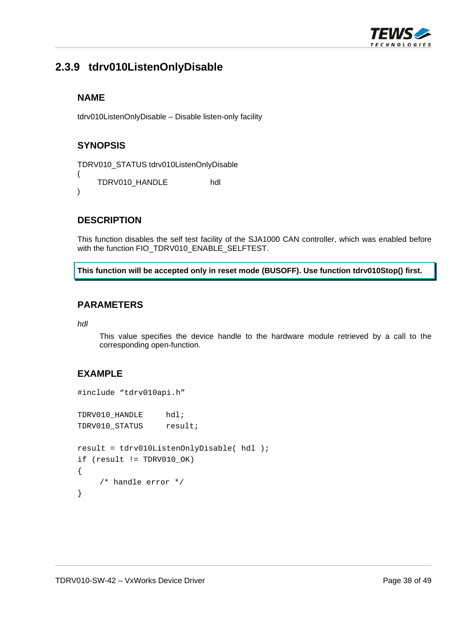

# <span id="page-37-0"></span>**2.3.9 tdrv010ListenOnlyDisable**

#### **NAME**

tdrv010ListenOnlyDisable – Disable listen-only facility

# **SYNOPSIS**

```
TDRV010_STATUS tdrv010ListenOnlyDisable
```
( TDRV010\_HANDLE hdl

```
)
```
#### **DESCRIPTION**

This function disables the self test facility of the SJA1000 CAN controller, which was enabled before with the function FIO\_TDRV010\_ENABLE\_SELFTEST.

**This function will be accepted only in reset mode (BUSOFF). Use function tdrv010Stop() first.** 

#### **PARAMETERS**

*hdl* 

This value specifies the device handle to the hardware module retrieved by a call to the corresponding open-function.

```
#include "tdrv010api.h" 
TDRV010_HANDLE hdl;
TDRV010_STATUS result;
result = tdrv010ListenOnlyDisable( hdl ); 
if (result != TDRV010_OK) 
{ 
      /* handle error */ 
}
```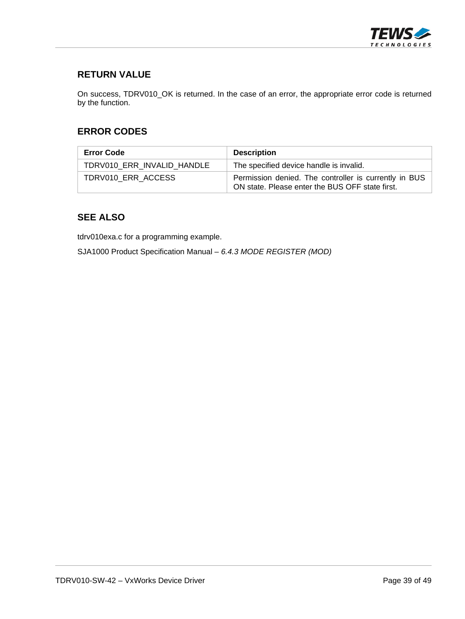

On success, TDRV010\_OK is returned. In the case of an error, the appropriate error code is returned by the function.

#### **ERROR CODES**

| <b>Error Code</b>          | <b>Description</b>                                                                                       |
|----------------------------|----------------------------------------------------------------------------------------------------------|
| TDRV010 ERR INVALID HANDLE | The specified device handle is invalid.                                                                  |
| TDRV010 ERR ACCESS         | Permission denied. The controller is currently in BUS<br>ON state. Please enter the BUS OFF state first. |

#### **SEE ALSO**

tdrv010exa.c for a programming example.

SJA1000 Product Specification Manual – *6.4.3 MODE REGISTER (MOD)*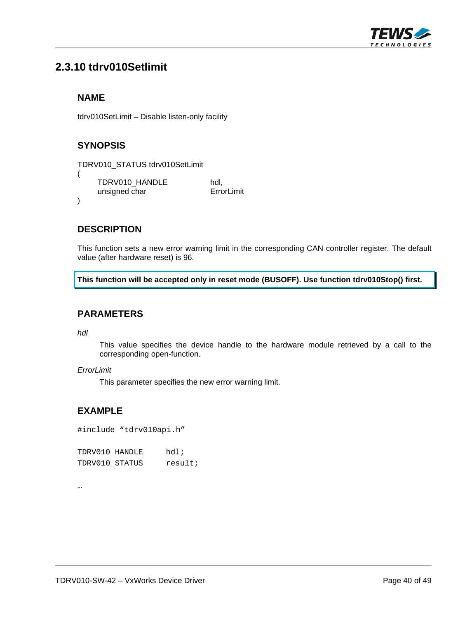

# <span id="page-39-0"></span>**2.3.10 tdrv010Setlimit**

#### **NAME**

tdrv010SetLimit – Disable listen-only facility

### **SYNOPSIS**

```
TDRV010_STATUS tdrv010SetLimit 
( 
     TDRV010_HANDLE hdl,<br>unsigned char FrrorLimit
      unsigned char
)
```
#### **DESCRIPTION**

This function sets a new error warning limit in the corresponding CAN controller register. The default value (after hardware reset) is 96.

**This function will be accepted only in reset mode (BUSOFF). Use function tdrv010Stop() first.** 

#### **PARAMETERS**

*hdl* 

…

This value specifies the device handle to the hardware module retrieved by a call to the corresponding open-function.

#### *ErrorLimit*

This parameter specifies the new error warning limit.

#### **EXAMPLE**

#include "tdrv010api.h"

| TDRV010 HANDLE | $hdl$ ; |
|----------------|---------|
| TDRV010 STATUS | result; |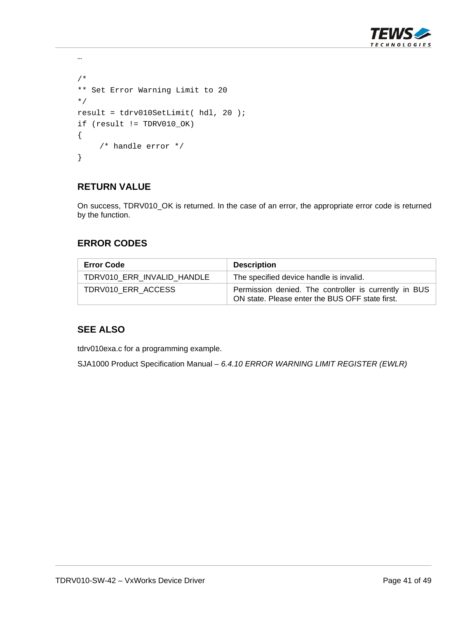

```
… 
/* 
** Set Error Warning Limit to 20 
*/ 
result = tdrv010SetLimit( hdl, 20 );
if (result != TDRV010_OK) 
{ 
      /* handle error */ 
}
```
On success, TDRV010\_OK is returned. In the case of an error, the appropriate error code is returned by the function.

#### **ERROR CODES**

| <b>Error Code</b>          | <b>Description</b>                                                                                       |
|----------------------------|----------------------------------------------------------------------------------------------------------|
| TDRV010 ERR INVALID HANDLE | The specified device handle is invalid.                                                                  |
| TDRV010 ERR ACCESS         | Permission denied. The controller is currently in BUS<br>ON state. Please enter the BUS OFF state first. |

#### **SEE ALSO**

tdrv010exa.c for a programming example.

SJA1000 Product Specification Manual – *6.4.10 ERROR WARNING LIMIT REGISTER (EWLR)*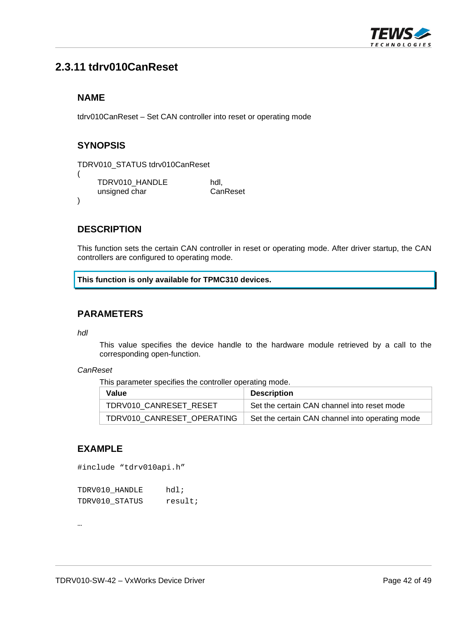

# <span id="page-41-0"></span>**2.3.11 tdrv010CanReset**

#### **NAME**

tdrv010CanReset – Set CAN controller into reset or operating mode

### **SYNOPSIS**

(

)

```
TDRV010_STATUS tdrv010CanReset
```

```
TDRV010_HANDLE hdl,<br>unsigned char CanReset
unsigned char
```
#### **DESCRIPTION**

This function sets the certain CAN controller in reset or operating mode. After driver startup, the CAN controllers are configured to operating mode.

**This function is only available for TPMC310 devices.** 

#### **PARAMETERS**

*hdl* 

This value specifies the device handle to the hardware module retrieved by a call to the corresponding open-function.

#### *CanReset*

This parameter specifies the controller operating mode.

| Value                      | <b>Description</b>                              |
|----------------------------|-------------------------------------------------|
| TDRV010 CANRESET RESET     | Set the certain CAN channel into reset mode     |
| TDRV010_CANRESET OPERATING | Set the certain CAN channel into operating mode |

# **EXAMPLE**

```
#include "tdrv010api.h"
```

| TDRV010 HANDLE | $hdl$ ; |
|----------------|---------|
| TDRV010 STATUS | result; |

…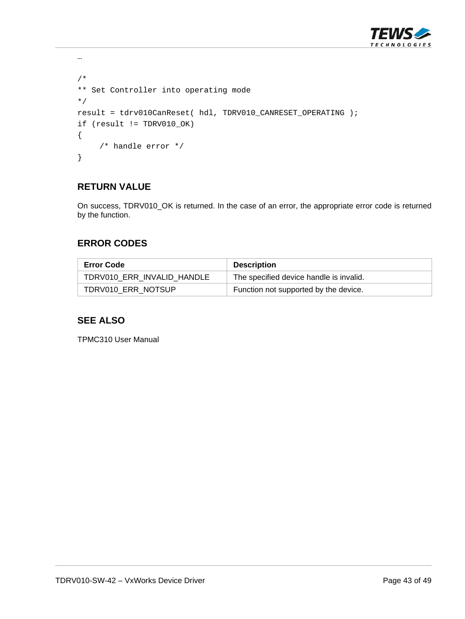

```
/* 
** Set Controller into operating mode 
*/ 
result = tdrv010CanReset( hdl, TDRV010_CANRESET_OPERATING ); 
if (result != TDRV010_OK) 
{ 
      /* handle error */ 
}
```
…

On success, TDRV010\_OK is returned. In the case of an error, the appropriate error code is returned by the function.

#### **ERROR CODES**

| <b>Error Code</b>          | <b>Description</b>                      |
|----------------------------|-----------------------------------------|
| TDRV010_ERR_INVALID_HANDLE | The specified device handle is invalid. |
| TDRV010 ERR NOTSUP         | Function not supported by the device.   |

#### **SEE ALSO**

TPMC310 User Manual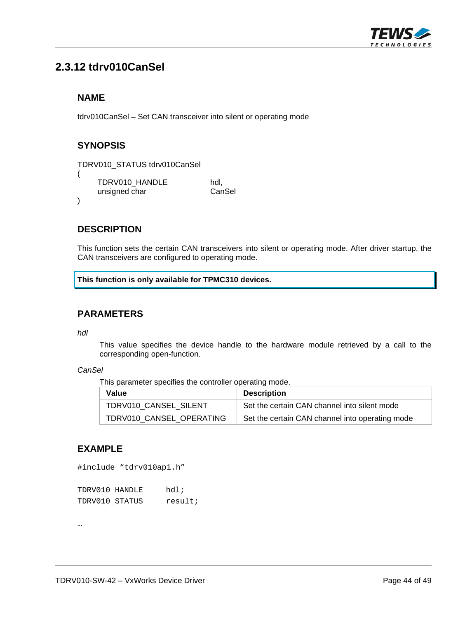

# <span id="page-43-0"></span>**2.3.12 tdrv010CanSel**

#### **NAME**

tdrv010CanSel – Set CAN transceiver into silent or operating mode

### **SYNOPSIS**

(

)

```
TDRV010_STATUS tdrv010CanSel
```

```
TDRV010_HANDLE hdl,<br>unsigned char canSel
unsigned char
```
#### **DESCRIPTION**

This function sets the certain CAN transceivers into silent or operating mode. After driver startup, the CAN transceivers are configured to operating mode.

**This function is only available for TPMC310 devices.** 

#### **PARAMETERS**

*hdl* 

This value specifies the device handle to the hardware module retrieved by a call to the corresponding open-function.

#### *CanSel*

This parameter specifies the controller operating mode.

| Value                    | <b>Description</b>                              |
|--------------------------|-------------------------------------------------|
| TDRV010 CANSEL SILENT    | Set the certain CAN channel into silent mode    |
| TDRV010 CANSEL OPERATING | Set the certain CAN channel into operating mode |

#### **EXAMPLE**

#include "tdrv010api.h"

| TDRV010 HANDLE | $hdl$ ; |
|----------------|---------|
| TDRV010 STATUS | result; |

…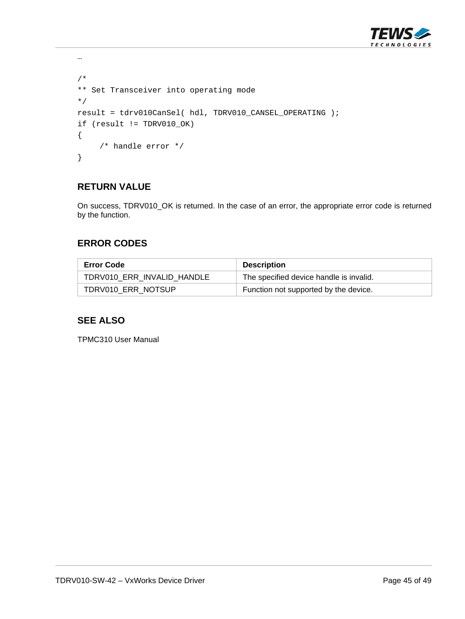

```
/* 
** Set Transceiver into operating mode 
*/ 
result = tdrv010CanSel( hdl, TDRV010_CANSEL_OPERATING ); 
if (result != TDRV010_OK) 
{ 
      /* handle error */ 
}
```
…

On success, TDRV010\_OK is returned. In the case of an error, the appropriate error code is returned by the function.

#### **ERROR CODES**

| <b>Error Code</b>          | <b>Description</b>                      |
|----------------------------|-----------------------------------------|
| TDRV010 ERR INVALID HANDLE | The specified device handle is invalid. |
| TDRV010 ERR NOTSUP         | Function not supported by the device.   |

#### **SEE ALSO**

TPMC310 User Manual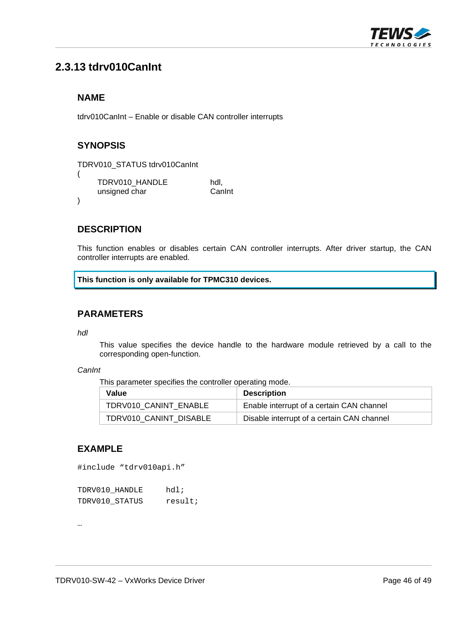

# <span id="page-45-0"></span>**2.3.13 tdrv010CanInt**

#### **NAME**

tdrv010CanInt – Enable or disable CAN controller interrupts

### **SYNOPSIS**

```
TDRV010_STATUS tdrv010CanInt 
( 
     TDRV010_HANDLE hdl,<br>unsigned char can Can L
     unsigned char
)
```
#### **DESCRIPTION**

This function enables or disables certain CAN controller interrupts. After driver startup, the CAN controller interrupts are enabled.

**This function is only available for TPMC310 devices.** 

#### **PARAMETERS**

*hdl* 

This value specifies the device handle to the hardware module retrieved by a call to the corresponding open-function.

#### *CanInt*

This parameter specifies the controller operating mode.

| Value                  | <b>Description</b>                         |
|------------------------|--------------------------------------------|
| TDRV010 CANINT ENABLE  | Enable interrupt of a certain CAN channel  |
| TDRV010 CANINT DISABLE | Disable interrupt of a certain CAN channel |

#### **EXAMPLE**

#include "tdrv010api.h"

| TDRV010 HANDLE | $hdl$ ; |
|----------------|---------|
| TDRV010 STATUS | result; |

…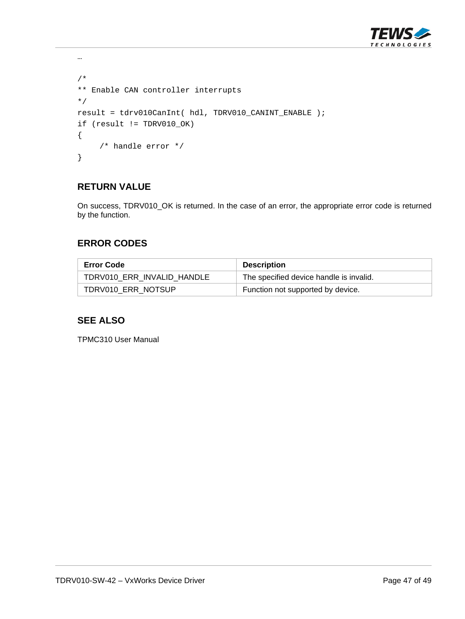

```
/* 
** Enable CAN controller interrupts 
*/ 
result = tdrv010CanInt( hdl, TDRV010_CANINT_ENABLE ); 
if (result != TDRV010_OK) 
{ 
      /* handle error */ 
}
```
…

On success, TDRV010\_OK is returned. In the case of an error, the appropriate error code is returned by the function.

#### **ERROR CODES**

| <b>Error Code</b>          | <b>Description</b>                      |
|----------------------------|-----------------------------------------|
| TDRV010_ERR_INVALID_HANDLE | The specified device handle is invalid. |
| TDRV010_ERR_NOTSUP         | Function not supported by device.       |

#### **SEE ALSO**

TPMC310 User Manual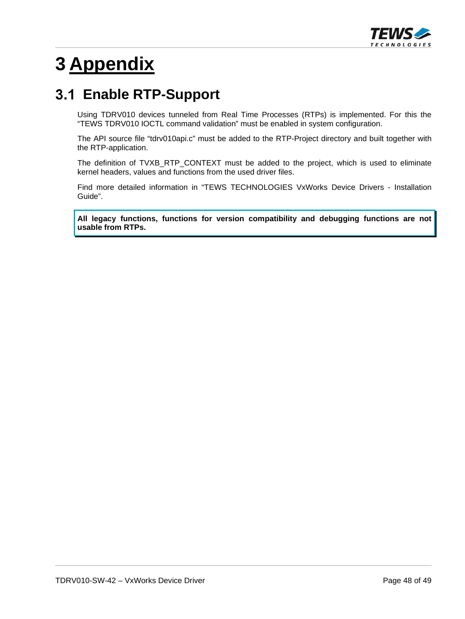

# <span id="page-47-0"></span>**3 Appendix**

# **Enable RTP-Support**

<span id="page-47-1"></span>Using TDRV010 devices tunneled from Real Time Processes (RTPs) is implemented. For this the "TEWS TDRV010 IOCTL command validation" must be enabled in system configuration.

The API source file "tdrv010api.c" must be added to the RTP-Project directory and built together with the RTP-application.

The definition of TVXB\_RTP\_CONTEXT must be added to the project, which is used to eliminate kernel headers, values and functions from the used driver files.

Find more detailed information in "TEWS TECHNOLOGIES VxWorks Device Drivers - Installation Guide".

**All legacy functions, functions for version compatibility and debugging functions are not usable from RTPs.**